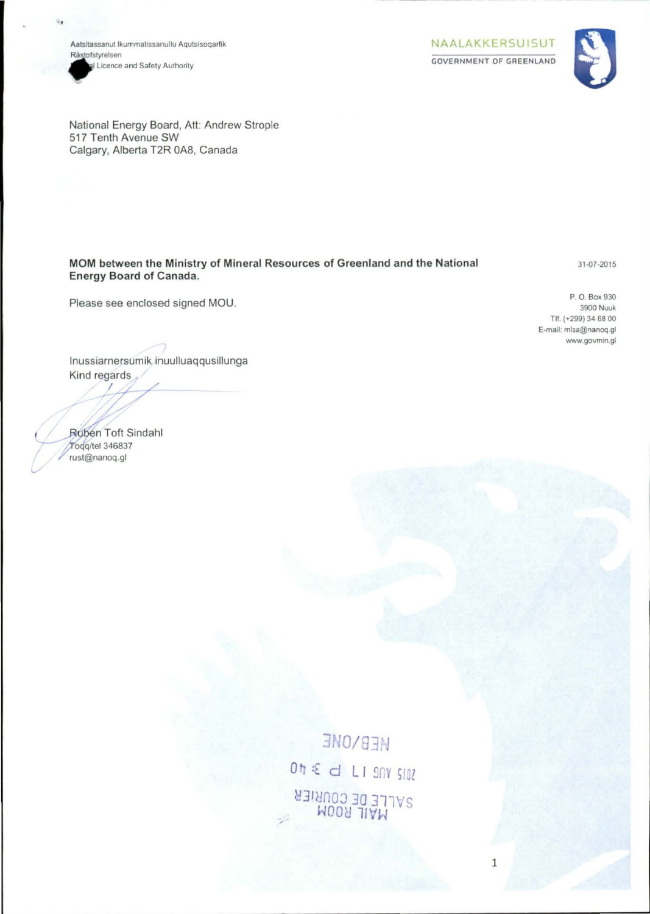Aatsitassanut Ikummatissanullu Agutsisogarfik Råstofstyrelsen al Licence and Safety Authority

NAALAKKERSUISUT **GOVERNMENT OF GREENLAND** 



National Energy Board, Att: Andrew Strople 517 Tenth Avenue SW Calgary, Alberta T2R 0A8, Canada

MOM between the Ministry of Mineral Resources of Greenland and the National **Energy Board of Canada.** 

31-07-2015

P. O. Box 930 3900 Nuuk Tlf. (+299) 34 68 00 E-mail: mlsa@nanoq.gl www.govmin.gl

Inussiarnersumik inuulluaqqusillunga Kind regards

Please see enclosed signed MOU.

Ruben Toft Sindahl Todg/tel 346837 rust@nanoq.gl

> **HEB/ONE**  $0h \leq d$  LI 9NY SIDZ SALLE DE COURIER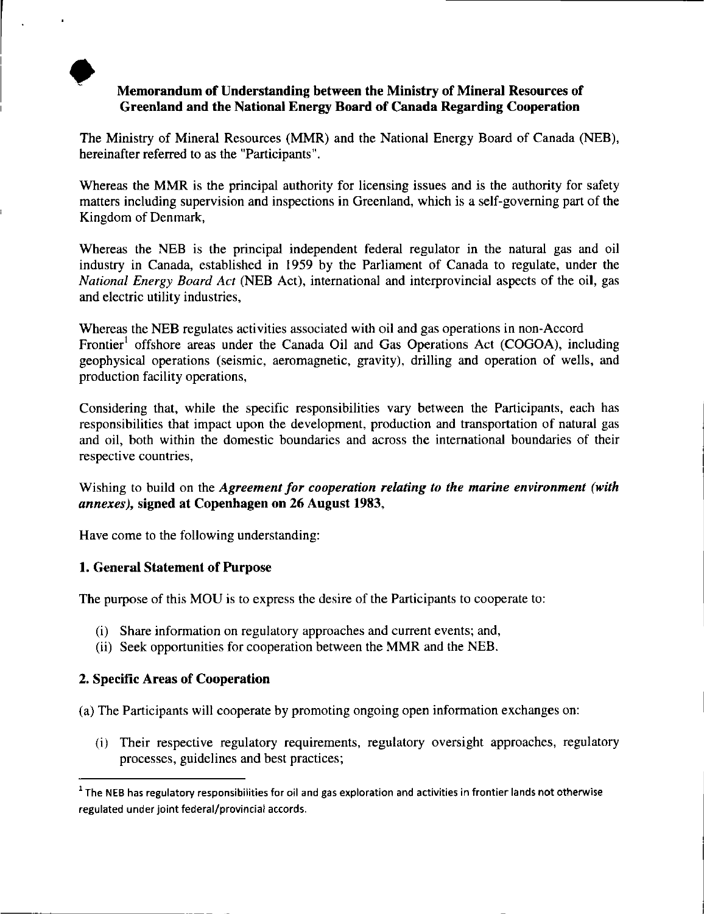# Memorandum of Understanding between the Ministry of Mineral Resources of Greenland and the National Energy Board of Canada Regarding Cooperation

The Ministry of Mineral Resources (MMR) and the National Energy Board of Canada (NEB), hereinafter referred to as the "Participants".

Whereas the MMR is the principal authority for licensing issues and is the authority for safety matters including supervision and inspections in Greenland, which is a self-governing part of the Kingdom of Denmark,

Whereas the NEB is the principal independent federal regulator in the natural gas and oil industry in Canada, established in 1959 by the Parliament of Canada to regulate, under the *National Energy Board Act* (NEB Act), international and interprovincial aspects of the oil, gas and electric utility industries,

Whereas the NEB regulates activities associated with oil and gas operations in non-Accord Frontier<sup>1</sup> offshore areas under the Canada Oil and Gas Operations Act (COGOA), including geophysical operations (seismic, aeromagnetic, gravity), drilling and operation of wells, and production facility operations,

Considering that, while the specific responsibilities vary between the Participants, each has responsibilities that impact upon the development, production and transportation of natural gas and oil, both within the domestic boundaries and across the international boundaries of their respective countries,

Wishing to build on the *Agreement for cooperation relating to the marine environment (with annexes),* signed at Copenhagen on 26 August 1983,

Have come to the following understanding:

# 1. General Statement of Purpose

The purpose of this MOU is to express the desire of the Participants to cooperate to:

- (i) Share information on regulatory approaches and current events; and,
- (ii) Seek opportunities for cooperation between the MMR and the NEB.

# 2. Specific Areas of Cooperation

(a) The Participants will cooperate by promoting ongoing open information exchanges on:

(i) Their respective regulatory requirements, regulatory oversight approaches, regulatory processes, guidelines and best practices;

 $1$  The NEB has regulatory responsibilities for oil and gas exploration and activities in frontier lands not otherwise regulated under joint federal/provincial accords.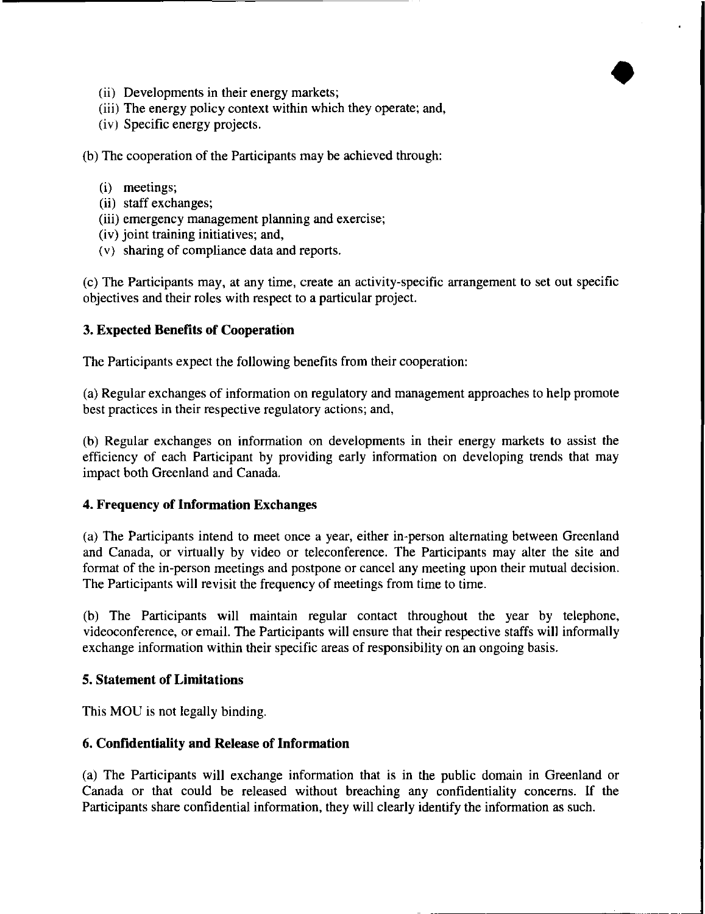- (ii) Developments in their energy markets;
- (iii) The energy policy context within which they operate; and,
- (iv) Specific energy projects.

(b) The cooperation of the Participants may be achieved through:

- (i) meetings;
- (ii) staff exchanges;
- (iii) emergency management planning and exercise;
- (iv) joint training initiatives; and,
- ( v) sharing of compliance data and reports.

(c) The Participants may, at any time, create an activity-specific arrangement to set out specific objectives and their roles with respect to a particular project.

•

# **3. Expected Benefits of Cooperation**

The Participants expect the following benefits from their cooperation:

(a) Regular exchanges of information on regulatory and management approaches to help promote best practices in their respective regulatory actions; and,

(b) Regular exchanges on information on developments in their energy markets to assist the efficiency of each Participant by providing early information on developing trends that may impact both Greenland and Canada.

### **4. Frequency of Information Exchanges**

(a) The Participants intend to meet once a year, either in-person alternating between Greenland and Canada, or virtually by video or teleconference. The Participants may alter the site and format of the in-person meetings and postpone or cancel any meeting upon their mutual decision. The Participants will revisit the frequency of meetings from time to time.

(b) The Participants will maintain regular contact throughout the year by telephone, videoconference, or email. The Participants will ensure that their respective staffs will informally exchange information within their specific areas of responsibility on an ongoing basis.

### **5. Statement of Limitations**

This MOU is not legally binding.

### **6. Confidentiality and Release of Information**

(a) The Participants **will** exchange information that is in the public domain in Greenland or Canada or that could be released without breaching any confidentiality concerns. If the Participants share confidential information, they will clearly identify the information as such.